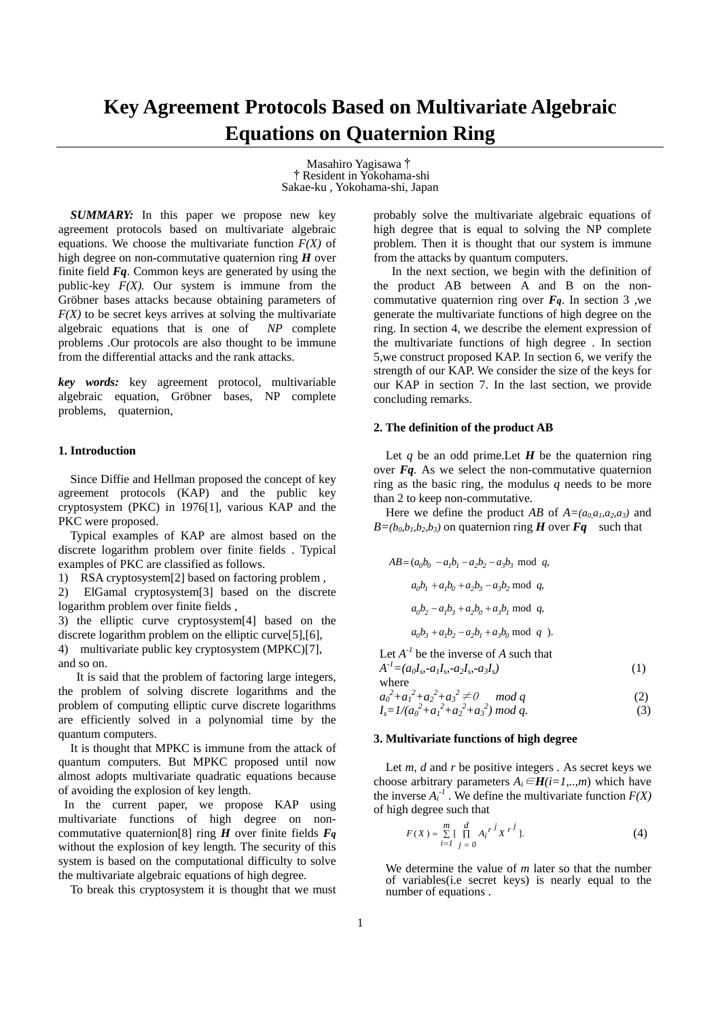# **Key Agreement Protocols Based on Multivariate Algebraic Equations on Quaternion Ring**

Masahiro Yagisawa† †Resident in Yokohama-shi Sakae-ku , Yokohama-shi, Japan

*SUMMARY:* In this paper we propose new key agreement protocols based on multivariate algebraic equations. We choose the multivariate function  $F(X)$  of high degree on non-commutative quaternion ring *H* over finite field *Fq*. Common keys are generated by using the public-key  $F(X)$ . Our system is immune from the Gröbner bases attacks because obtaining parameters of  $F(X)$  to be secret keys arrives at solving the multivariate algebraic equations that is one of *NP* complete problems *.*Our protocols are also thought to be immune from the differential attacks and the rank attacks.

*key words:* key agreement protocol, multivariable algebraic equation, Gröbner bases, NP complete problems, quaternion,

#### **1. Introduction**

Since Diffie and Hellman proposed the concept of key agreement protocols (KAP) and the public key cryptosystem (PKC) in 1976[1], various KAP and the PKC were proposed.

 Typical examples of KAP are almost based on the discrete logarithm problem over finite fields . Typical examples of PKC are classified as follows.

1) RSA cryptosystem[2] based on factoring problem ,

2) ElGamal cryptosystem[3] based on the discrete logarithm problem over finite fields ,

3) the elliptic curve cryptosystem[4] based on the discrete logarithm problem on the elliptic curve[5],[6], 4) multivariate public key cryptosystem (MPKC)[7], and so on.

 It is said that the problem of factoring large integers, the problem of solving discrete logarithms and the problem of computing elliptic curve discrete logarithms are efficiently solved in a polynomial time by the quantum computers.

It is thought that MPKC is immune from the attack of quantum computers. But MPKC proposed until now almost adopts multivariate quadratic equations because of avoiding the explosion of key length.

In the current paper, we propose KAP using multivariate functions of high degree on noncommutative quaternion<sup>[8]</sup> ring  $\vec{H}$  over finite fields  $\vec{F}_q$ without the explosion of key length. The security of this system is based on the computational difficulty to solve the multivariate algebraic equations of high degree.

To break this cryptosystem it is thought that we must

probably solve the multivariate algebraic equations of high degree that is equal to solving the NP complete problem. Then it is thought that our system is immune from the attacks by quantum computers.

 In the next section, we begin with the definition of the product AB between A and B on the noncommutative quaternion ring over  $F_q$ . In section 3 ,we generate the multivariate functions of high degree on the ring. In section 4, we describe the element expression of the multivariate functions of high degree . In section 5,we construct proposed KAP. In section 6, we verify the strength of our KAP. We consider the size of the keys for our KAP in section 7. In the last section, we provide concluding remarks.

## **2. The definition of the product AB**

Let  $q$  be an odd prime. Let  $H$  be the quaternion ring over *Fq.* As we select the non-commutative quaternion ring as the basic ring, the modulus *q* needs to be more than 2 to keep non-commutative.

Here we define the product *AB* of  $A=(a_0a_1,a_2,a_3)$  and  $B=(b_0, b_1, b_2, b_3)$  on quaternion ring *H* over *Fq* such that

$$
AB = (a_0b_0 - a_1b_1 - a_2b_2 - a_3b_3 \mod q,
$$
  
\n
$$
a_0b_1 + a_1b_0 + a_2b_3 - a_3b_2 \mod q,
$$
  
\n
$$
a_0b_2 - a_1b_3 + a_2b_0 + a_3b_1 \mod q,
$$
  
\n
$$
a_0b_3 + a_1b_2 - a_2b_1 + a_3b_0 \mod q.
$$

Let  $A^{-1}$  be the inverse of  $A$  such that  $A^{-1} = (a_0I_s - a_1I_s - a_2I_s - a_3I_s)$  (1)

where

$$
a_0^2 + a_1^2 + a_2^2 + a_3^2 \neq 0 \mod q
$$
  
\n
$$
I_s = 1/(a_0^2 + a_1^2 + a_2^2 + a_3^2) \mod q.
$$
\n(2)  
\n(3)

## **3. Multivariate functions of high degree**

Let *m*, *d* and *r* be positive integers . As secret keys we choose arbitrary parameters  $A_i \in H(i=1,...,m)$  which have the inverse  $A_i^{-1}$ . We define the multivariate function  $F(X)$ of high degree such that

$$
F(X) = \sum_{i=1}^{m} \left[ \prod_{j=0}^{d} A_i^{r^j} X^{r^j} \right].
$$
 (4)

 We determine the value of *m* later so that the number of variables(i.e secret keys) is nearly equal to the number of equations .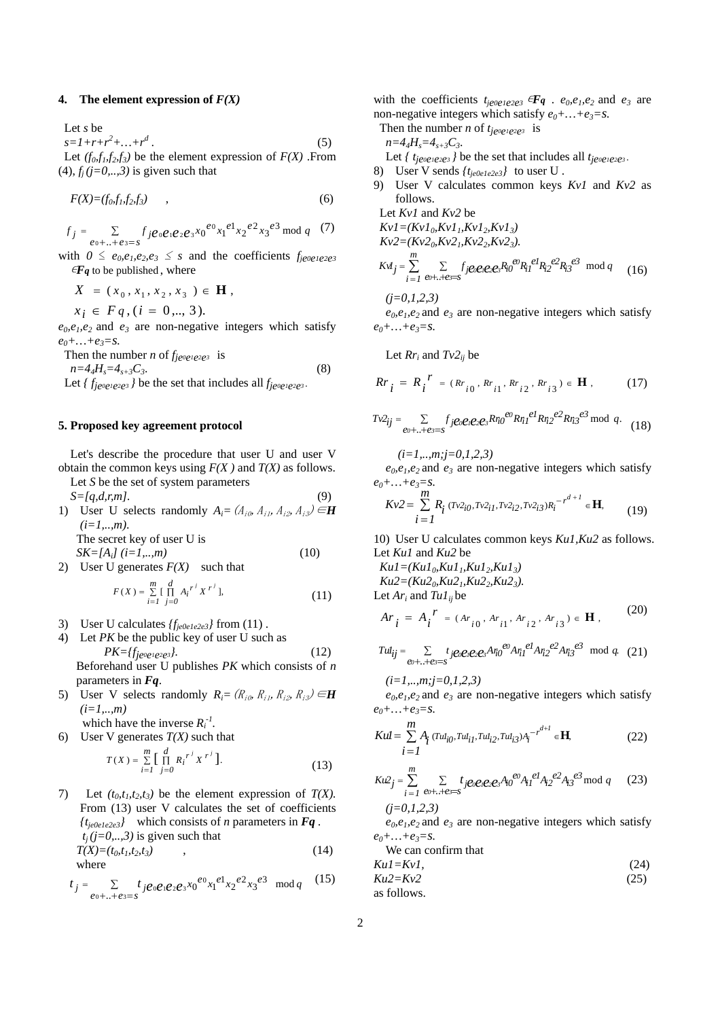#### **4.** The element expression of  $F(X)$

Let *s* be  $s = 1 + r + r^2 + ... + r^d$  *.* (5) Let  $(f_0, f_1, f_2, f_3)$  be the element expression of  $F(X)$ . From  $(4)$ ,  $f_j$  ( $j=0, \ldots, 3$ ) is given such that

$$
F(X)=(f_0, f_1, f_2, f_3) \qquad , \qquad (6)
$$

$$
f_j = \sum_{e_0 + \ldots + e_{3} = s} f_j e_0 e_1 e_2 e_3 x_0^{e_0} x_1^{e_1} x_2^{e_2} x_3^{e_3} \bmod q \quad (7)
$$

with  $0 \le e_0, e_1, e_2, e_3 \le s$  and the coefficients  $f_{je0e1e2e3}$  $\epsilon F_q$  to be published, where

$$
X = (x_0, x_1, x_2, x_3) \in \mathbf{H},
$$

 $x_i \in F_q$ ,  $(i = 0, \ldots, 3)$ .

 $e_0, e_1, e_2$  and  $e_3$  are non-negative integers which satisfy  $e_0 + ... + e_3 = s.$ 

Then the number *n* of *fje0e1e2e3* is  $n=4_4H_s=4_{s+3}C_3.$  (8) Let  $\{f_{je\circ e1e2e3}\}$  be the set that includes all  $f_{je\circ e1e2e3}$ .

#### **5. Proposed key agreement protocol**

Let's describe the procedure that user U and user V obtain the common keys using  $F(X)$  and  $T(X)$  as follows.

- Let *S* be the set of system parameters  $S=[q,d,r,m].$  (9) 1) User U selects randomly  $A_i = (A_{i0}, A_{i1}, A_{i2}, A_{i3}) \in \mathbf{H}$ *(i=1,..,m)*. The secret key of user U is  $SK=[A_i]$  (*i*=1,...,*m*) (10)
- 2) User U generates  $F(X)$  such that

$$
F(X) = \sum_{i=1}^{m} \left[ \prod_{j=0}^{d} A_i^{r^j} X^{r^j} \right],
$$
 (11)

- 3) User U calculates *{fje0e1e2e3}* from (11) .
- 4) Let *PK* be the public key of user U such as  $PK = \{f_{je\,0e1e2e3}\}.$  (12) Beforehand user U publishes *PK* which consists of *n* parameters in *Fq*.
- 5) User V selects randomly  $R_i = (R_{i0}, R_{i1}, R_{i2}, R_{i3}) \in \mathbf{H}$ *(i=1,..,m)*

which have the inverse  $R_i^{-1}$ .

6) User V generates  $T(X)$  such that

$$
T(X) = \sum_{i=1}^{m} \left[ \prod_{j=0}^{d} {R_i^{r}}^{j'} X^{r} \right].
$$
 (13)

7) Let  $(t_0, t_1, t_2, t_3)$  be the element expression of  $T(X)$ . From (13) user V calculates the set of coefficients *{tje0e1e2e3}* which consists of *n* parameters in *Fq .*  $t_i$  (*j*=0,..,3) is given such that  $T(X)=(t_0,t_1,t_2,t_3)$  (14) where  $(15)$ 

$$
t_j = \sum_{e_0 + \ldots + e_{3} = s} t_j e_0 e_1 e_2 e_3 x_0^{e_0} x_1^{e_1} x_2^{e_2} x_3^{e_3} \mod q \quad (15)
$$

with the coefficients  $t_{je0e1e2e3}$   $\in$ **Fq** .  $e_0$ ,  $e_1$ ,  $e_2$  and  $e_3$  are non-negative integers which satisfy  $e_0 + ... + e_3 = s$ .

Then the number *n* of 
$$
t_{je\circ e_1e_2e_3}
$$
 is

 $n=4$ <sub>A</sub> $H<sub>s</sub>=4$ <sub>s+3</sub> $C<sub>3</sub>$ .

Let  $\{t_{jeo\neq1e2e3}\}$  be the set that includes all  $t_{jeo\neq1e2e3}$ .

- 8) User V sends *{tje0e1e2e3}* to user U .
- 9) User V calculates common keys *Kv1* and *Kv2* as follows.

Let *Kv1* and *Kv2* be  $KvI = (KvI_0, KvI_1, KvI_2, KvI_3)$  $Kv2=(Kv2_0,Kv2_1,Kv2_2,Kv2_3).$ 

$$
Kvl_j = \sum_{i=1}^{m} \sum_{\varrho_0 + \ldots + \varrho_i = s} f_j \varrho_0 \varrho_1 \varrho_2 \varrho_3 R_{i0}^{\varrho_0} R_{i1}^{\varrho_1} R_{i2}^{\varrho_2} R_{i3}^{\varrho_3} \mod q \quad (16)
$$

*(j=0,1,2,3)* 

 $e_0, e_1, e_2$  and  $e_3$  are non-negative integers which satisfy  $e_0 + ... + e_3 = S$ .

Let  $Rr_i$  and  $Tv2_{ii}$  be

$$
Rr_i = R_i^{\ r} = (Rr_{i0}, Rr_{i1}, Rr_{i2}, Rr_{i3}) \in \mathbf{H}, \tag{17}
$$

$$
Tv_{ij}^{2} = \sum_{\ell v^{2} \dots + \ell s = s} f_{j} e_{v} e_{i} e_{i} e_{s} R r_{i0}^{e0} R r_{i1}^{e1} R r_{i2}^{e2} R r_{i3}^{e3} \mod q. \tag{18}
$$

*(i=1,..,m;j=0,1,2,3)* 

 $e_0, e_1, e_2$  and  $e_3$  are non-negative integers which satisfy  $e_0 + ... + e_3 = S.$ <br>*m* 

$$
Kv^2 = \sum_{i=1}^{m} R_i \, (Tv^2_{i0}, Tv^2_{i1}, Tv^2_{i2}, Tv^2_{i3}) R_i^{-r^{d+1}} \in \mathbf{H},\qquad(19)
$$

10) User U calculates common keys *Ku1,Ku2* as follows. Let *Ku1* and *Ku2* be

 $Kul = (Kul_0, Kul_1, Kul_2, Kul_3)$  $Ku2 = (Ku2_0, Ku2_1, Ku2_2, Ku2_3).$ 

Let  $Ar_i$  and  $TuI_{ii}$  be

$$
Ar_{i} = A_{i}^{r} = (Ar_{i0}, Ar_{i1}, Ar_{i2}, Ar_{i3}) \in \mathbf{H},
$$
 (20)

$$
Tul_{ij} = \sum_{e_0 + \ldots + e_i = s} t_{j}e_0e_ie_2e_sA\eta_0^{e_0}A\eta_1^{e_1}A\eta_2^{e_2}A\eta_3^{e_3} \mod q. \tag{21}
$$

$$
(i=1, \ldots, m; j=0,1,2,3)
$$

 $e_0, e_1, e_2$  and  $e_3$  are non-negative integers which satisfy  $e_0 + ... + e_3 = s$ .

$$
Kul = \sum_{i=1}^{m} A_i \, (Tul_{i0}, Tul_{i1}, Tul_{i2}, Tul_{i3}) A_i^{-r^{d+1}} \in \mathbf{H},\tag{22}
$$

$$
Ku^{2}j = \sum_{i=1}^{m} \sum_{\varrho_0 + \ldots + \varrho_i = s} t_{j} \varrho_0 \varrho_1 \varrho_2 \varrho_3 A_{i0}^{\varrho_0} A_{i1}^{\varrho_1} A_{i2}^{\varrho_2} A_{i3}^{\varrho_3} \mod q \qquad (23)
$$

*(j=0,1,2,3)* 

 $e_0, e_1, e_2$  and  $e_3$  are non-negative integers which satisfy  $e_0 + ... + e_3 = s.$ 

We can confirm that  
\n
$$
KuI = KvI
$$
, (24)  
\n $Ku2 = Kv2$  (25)

as follows.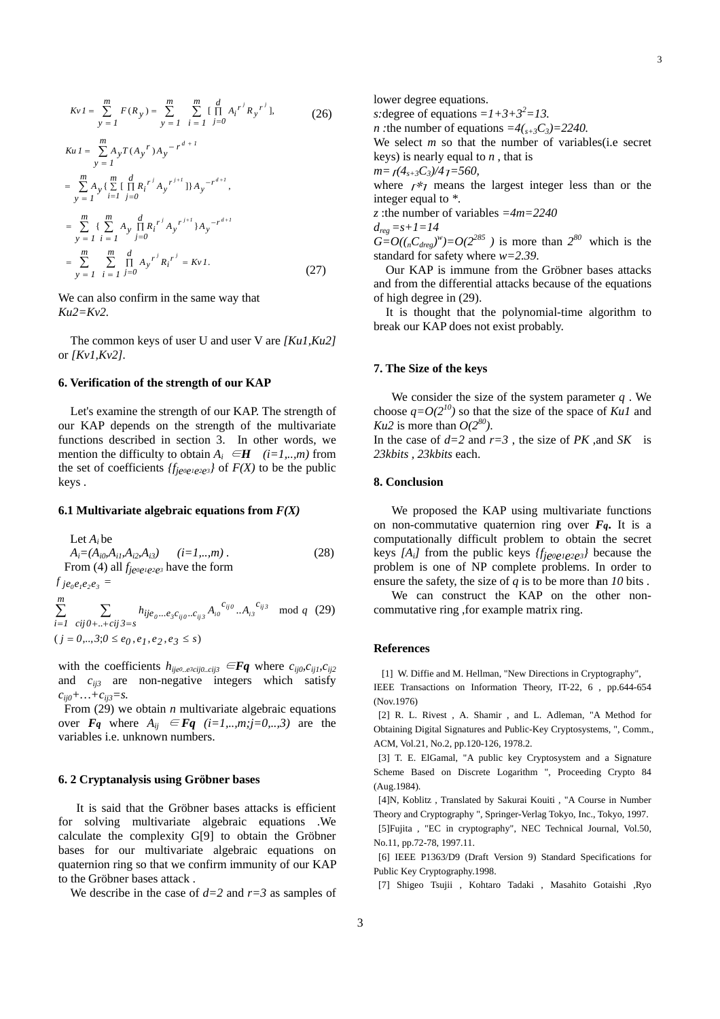$$
KvI = \sum_{y=1}^{m} F(R_y) = \sum_{y=1}^{m} \sum_{i=1}^{m} \prod_{j=0}^{d} A_i^{r^j} R_y^{r^j},
$$
\n(26)  
\n
$$
KuI = \sum_{y=1}^{m} A_y T(A_y^{r}) A_y^{-r^{d+1}}
$$
\n
$$
= \sum_{y=1}^{m} A_y \{ \sum_{i=1}^{m} \prod_{j=0}^{d} R_i^{r^j} A_y^{r^{j+l}} \} A_y^{-r^{d+l}},
$$
\n
$$
= \sum_{y=1}^{m} \{ \sum_{i=1}^{m} A_y \prod_{j=0}^{d} R_i^{r^j} A_y^{r^{j+l}} \} A_y^{-r^{d+l}}
$$

$$
= \sum_{y=1}^{m} \sum_{i=1}^{m} \prod_{j=0}^{d} A_{y}^{r^{j}} R_{i}^{r^{j}} = Kv I.
$$
 (27)

We can also confirm in the same way that *Ku2=Kv2.* 

=

The common keys of user U and user V are *[Ku1,Ku2]*  or *[Kv1,Kv2].* 

#### **6. Verification of the strength of our KAP**

Let's examine the strength of our KAP. The strength of our KAP depends on the strength of the multivariate functions described in section 3. In other words, we mention the difficulty to obtain  $A_i \in H$  (*i*=1,..,*m*) from the set of coefficients  ${f_{j\ell^0\ell^1\ell^2\ell^3}}$  of  $F(X)$  to be the public keys .

#### **6.1 Multivariate algebraic equations from**  $F(X)$

Let 
$$
A_i
$$
 be  
\n $A_i = (A_{i0}, A_{i1}, A_{i2}, A_{i3})$   $(i=1,...,m)$ . (28)  
\nFrom (4) all  $f_{je\circ e_1e_2e_3}$  have the form  
\n $f_{je_0e_1e_2e_3} =$   
\n $\sum_{i=1}^{m} \sum_{\text{cij}\theta + ... + \text{cij}\beta = s} h_{ije_0...e_3c_{ij0}...c_{ij3}} A_{io}^{c_{ij0}} ... A_{is}^{c_{ij3}}$  mod  $q$  (29)  
\n $(j = 0,...,3; 0 \le e_0, e_1, e_2, e_3 \le s)$ 

with the coefficients  $h_{ij}e^{i\theta} \text{ and } e^{i\theta} = \mathbf{F}\mathbf{q}$  where  $c_{ij0}c_{ij1}c_{ij2}$ and *cij3* are non-negative integers which satisfy  $c_{ii0} + ... + c_{ii3} = s.$ 

From (29) we obtain *n* multivariate algebraic equations over  $\mathbf{F}_q$  where  $A_{ij} \in \mathbf{F}_q$  (*i*=1,..,*m*;*j*=0,..,3) are the variables i.e. unknown numbers.

#### **6. 2 Cryptanalysis using Gröbner bases**

It is said that the Gröbner bases attacks is efficient for solving multivariate algebraic equations .We calculate the complexity G[9] to obtain the Gröbner bases for our multivariate algebraic equations on quaternion ring so that we confirm immunity of our KAP to the Gröbner bases attack .

We describe in the case of *d=2* and *r=3* as samples of

lower degree equations.

*s*: degree of equations  $=I+3+3^2=13$ .

*n* : the number of equations  $=4(\sqrt{33})=2240$ .

We select *m* so that the number of variables(*i.e* secret keys) is nearly equal to *n* , that is

*m*= $f(4<sub>s+3</sub>C<sub>3</sub>)/4<sub>7</sub>$  = 560,

where  $r \nless 7$  means the largest integer less than or the integer equal to *\**.

*z* :the number of variables *=4m=2240* 

 $d_{reg} = s + 1 = 14$ 

 $G = O((nC_{\text{drag}})^w) = O(2^{285})$  is more than  $2^{80}$  which is the standard for safety where *w=2.39*.

Our KAP is immune from the Gröbner bases attacks and from the differential attacks because of the equations of high degree in (29).

It is thought that the polynomial-time algorithm to break our KAP does not exist probably.

#### **7. The Size of the keys**

We consider the size of the system parameter *q* . We choose  $q=O(2^{10})$  so that the size of the space of *Ku1* and *Ku2* is more than  $O(2^{80})$ .

In the case of  $d=2$  and  $r=3$ , the size of *PK*, and *SK* is *23kbits , 23kbits* each.

## **8. Conclusion**

We proposed the KAP using multivariate functions on non-commutative quaternion ring over  $F_q$ . It is a computationally difficult problem to obtain the secret keys *[Ai]* from the public keys *{fje0e1e2e3}* because the problem is one of NP complete problems. In order to ensure the safety, the size of *q* is to be more than *10* bits .

We can construct the KAP on the other noncommutative ring ,for example matrix ring.

#### **References**

[1] W. Diffie and M. Hellman, "New Directions in Cryptography",

IEEE Transactions on Information Theory, IT-22, 6 , pp.644-654 (Nov.1976)

[2] R. L. Rivest , A. Shamir , and L. Adleman, "A Method for Obtaining Digital Signatures and Public-Key Cryptosystems, ", Comm., ACM, Vol.21, No.2, pp.120-126, 1978.2.

[3] T. E. ElGamal, "A public key Cryptosystem and a Signature Scheme Based on Discrete Logarithm ", Proceeding Crypto 84 (Aug.1984).

[4]N, Koblitz , Translated by Sakurai Kouiti , "A Course in Number Theory and Cryptography ", Springer-Verlag Tokyo, Inc., Tokyo, 1997.

[5]Fujita , "EC in cryptography", NEC Technical Journal, Vol.50, No.11, pp.72-78, 1997.11.

[6] IEEE P1363/D9 (Draft Version 9) Standard Specifications for Public Key Cryptography.1998.

[7] Shigeo Tsujii , Kohtaro Tadaki , Masahito Gotaishi ,Ryo

3